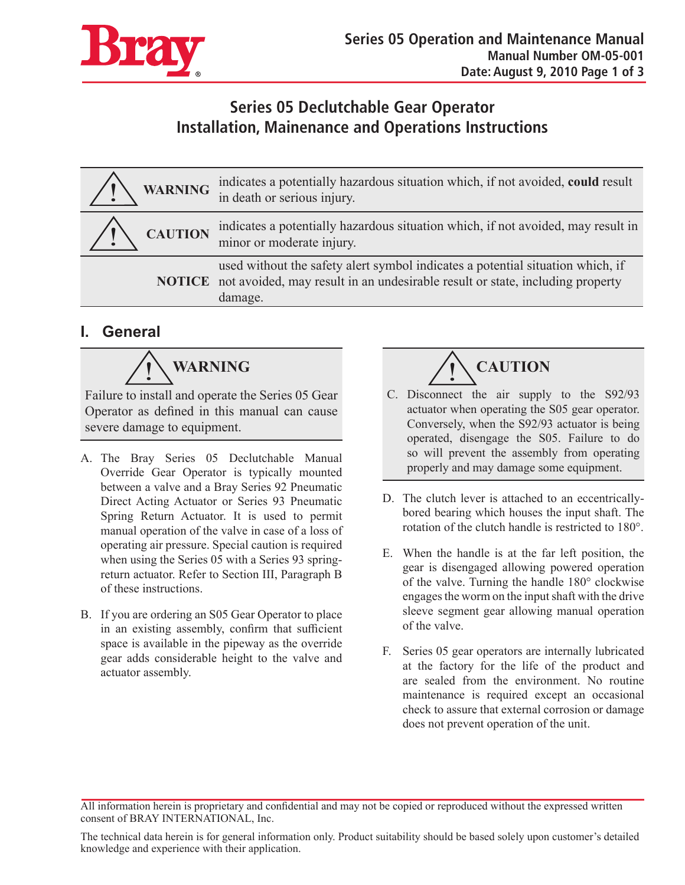

## **Series 05 Declutchable Gear Operator Installation, Mainenance and Operations Instructions**

|                | WARNING indicates a potentially hazardous situation which, if not avoided, could result in death or serious injury.                                                                      |
|----------------|------------------------------------------------------------------------------------------------------------------------------------------------------------------------------------------|
| <b>CAUTION</b> | indicates a potentially hazardous situation which, if not avoided, may result in<br>minor or moderate injury.                                                                            |
|                | used without the safety alert symbol indicates a potential situation which, if<br><b>NOTICE</b> not avoided, may result in an undesirable result or state, including property<br>damage. |

## **I. General**

 $\sqrt{\frac{1}{2}}$  WARNING

Failure to install and operate the Series 05 Gear Operator as defined in this manual can cause severe damage to equipment.

- A. The Bray Series 05 Declutchable Manual Override Gear Operator is typically mounted between a valve and a Bray Series 92 Pneumatic Direct Acting Actuator or Series 93 Pneumatic Spring Return Actuator. It is used to permit manual operation of the valve in case of a loss of operating air pressure. Special caution is required when using the Series 05 with a Series 93 springreturn actuator. Refer to Section III, Paragraph B of these instructions.
- B. If you are ordering an S05 Gear Operator to place in an existing assembly, confirm that sufficient space is available in the pipeway as the override gear adds considerable height to the valve and actuator assembly.

**CAUTION**

- C. Disconnect the air supply to the S92/93 actuator when operating the S05 gear operator. Conversely, when the S92/93 actuator is being operated, disengage the S05. Failure to do so will prevent the assembly from operating properly and may damage some equipment.
- D. The clutch lever is attached to an eccentricallybored bearing which houses the input shaft. The rotation of the clutch handle is restricted to 180°.
- E. When the handle is at the far left position, the gear is disengaged allowing powered operation of the valve. Turning the handle 180° clockwise engages the worm on the input shaft with the drive sleeve segment gear allowing manual operation of the valve.
- F. Series 05 gear operators are internally lubricated at the factory for the life of the product and are sealed from the environment. No routine maintenance is required except an occasional check to assure that external corrosion or damage does not prevent operation of the unit.

All information herein is proprietary and confidential and may not be copied or reproduced without the expressed written consent of BRAY INTERNATIONAL, Inc.

The technical data herein is for general information only. Product suitability should be based solely upon customer's detailed knowledge and experience with their application.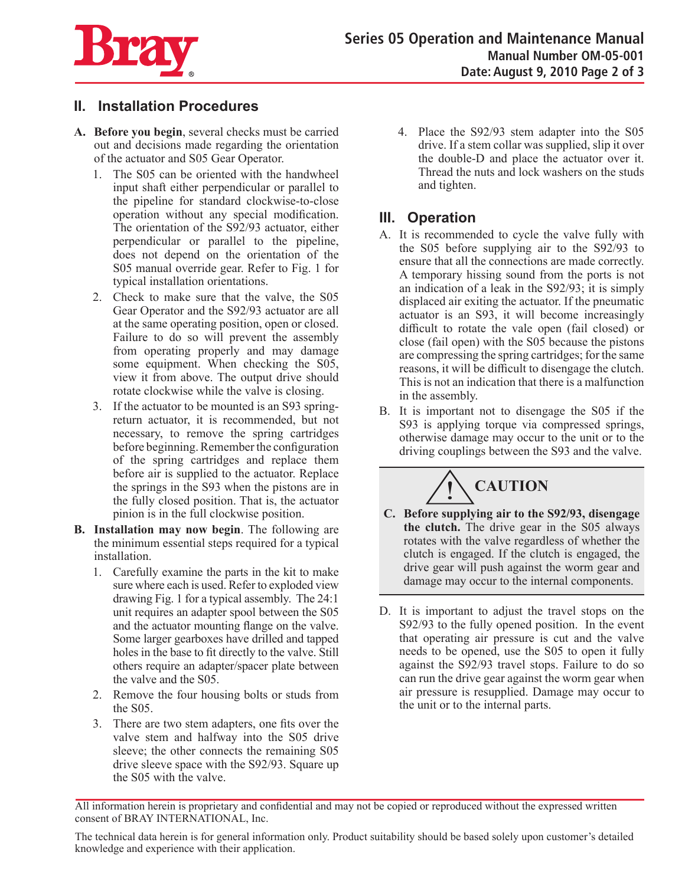

## **II. Installation Procedures**

- **A. Before you begin**, several checks must be carried out and decisions made regarding the orientation of the actuator and S05 Gear Operator.
	- 1. The S05 can be oriented with the handwheel input shaft either perpendicular or parallel to the pipeline for standard clockwise-to-close operation without any special modification. The orientation of the S92/93 actuator, either perpendicular or parallel to the pipeline, does not depend on the orientation of the S05 manual override gear. Refer to Fig. 1 for typical installation orientations.
	- 2. Check to make sure that the valve, the S05 Gear Operator and the S92/93 actuator are all at the same operating position, open or closed. Failure to do so will prevent the assembly from operating properly and may damage some equipment. When checking the S05, view it from above. The output drive should rotate clockwise while the valve is closing.
	- 3. If the actuator to be mounted is an S93 springreturn actuator, it is recommended, but not necessary, to remove the spring cartridges before beginning. Remember the configuration of the spring cartridges and replace them before air is supplied to the actuator. Replace the springs in the S93 when the pistons are in the fully closed position. That is, the actuator pinion is in the full clockwise position.
- **B. Installation may now begin**. The following are the minimum essential steps required for a typical installation.
	- 1. Carefully examine the parts in the kit to make sure where each is used. Refer to exploded view drawing Fig. 1 for a typical assembly. The 24:1 unit requires an adapter spool between the S05 and the actuator mounting flange on the valve. Some larger gearboxes have drilled and tapped holes in the base to fit directly to the valve. Still others require an adapter/spacer plate between the valve and the S05.
	- 2. Remove the four housing bolts or studs from the S05.
	- 3. There are two stem adapters, one fits over the valve stem and halfway into the S05 drive sleeve; the other connects the remaining S05 drive sleeve space with the S92/93. Square up the S05 with the valve.

4. Place the S92/93 stem adapter into the S05 drive. If a stem collar was supplied, slip it over the double-D and place the actuator over it. Thread the nuts and lock washers on the studs and tighten.

## **III. Operation**

- A. It is recommended to cycle the valve fully with the S05 before supplying air to the S92/93 to ensure that all the connections are made correctly. A temporary hissing sound from the ports is not an indication of a leak in the S92/93; it is simply displaced air exiting the actuator. If the pneumatic actuator is an S93, it will become increasingly difficult to rotate the vale open (fail closed) or close (fail open) with the S05 because the pistons are compressing the spring cartridges; for the same reasons, it will be difficult to disengage the clutch. This is not an indication that there is a malfunction in the assembly.
- B. It is important not to disengage the S05 if the S93 is applying torque via compressed springs, otherwise damage may occur to the unit or to the driving couplings between the S93 and the valve.



- **C. Before supplying air to the S92/93, disengage the clutch.** The drive gear in the S05 always rotates with the valve regardless of whether the clutch is engaged. If the clutch is engaged, the drive gear will push against the worm gear and damage may occur to the internal components.
- D. It is important to adjust the travel stops on the S92/93 to the fully opened position. In the event that operating air pressure is cut and the valve needs to be opened, use the S05 to open it fully against the S92/93 travel stops. Failure to do so can run the drive gear against the worm gear when air pressure is resupplied. Damage may occur to the unit or to the internal parts.

The technical data herein is for general information only. Product suitability should be based solely upon customer's detailed knowledge and experience with their application.

All information herein is proprietary and confidential and may not be copied or reproduced without the expressed written consent of BRAY INTERNATIONAL, Inc.